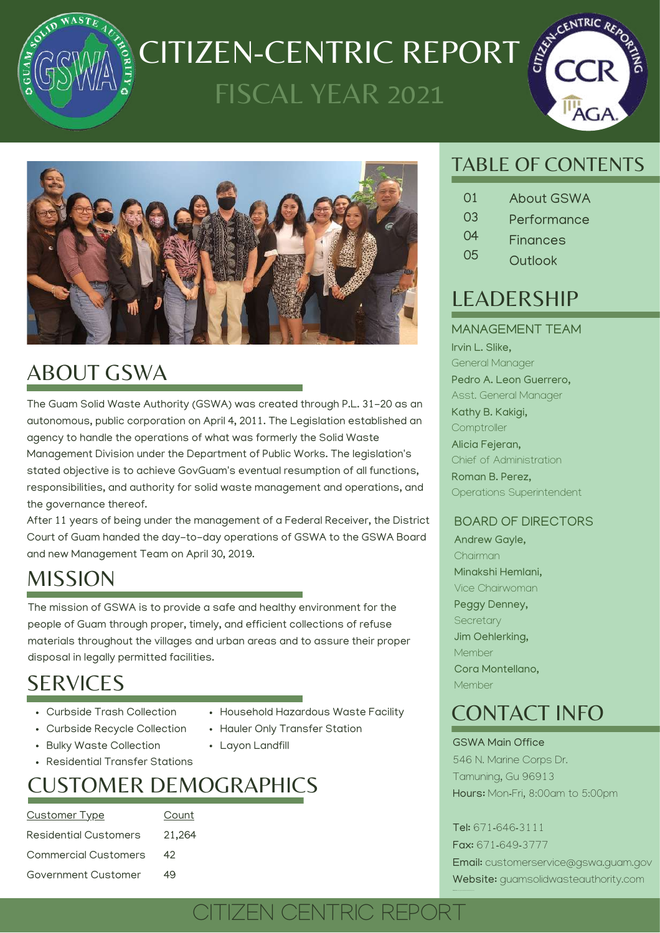

# CITIZEN-CENTRIC REPORT FISCAL YEAR 2021





## ABOUT GSWA

The Guam Solid Waste Authority (GSWA) was created through P.L. 31-20 as an autonomous, public corporation on April 4, 2011. The Legislation established an agency to handle the operations of what was formerly the Solid Waste Management Division under the Department of Public Works. The legislation's stated objective is to achieve GovGuam's eventual resumption of all functions, responsibilities, and authority for solid waste management and operations, and the governance thereof.

After 11 years of being under the management of a Federal Receiver, the District Court of Guam handed the day-to-day operations of GSWA to the GSWA Board and new Management Team on April 30, 2019.

## MISSION

The mission of GSWA is to provide a safe and healthy environment for the people of Guam through proper, timely, and efficient collections of refuse materials throughout the villages and urban areas and to assure their proper disposal in legally permitted facilities.

#### **SERVICES**

- Curbside Trash Collection
- Curbside Recycle Collection
- Bulky Waste Collection
- Residential Transfer Stations

## CUSTOMER DEMOGRAPHICS

| <u> Customer Type</u>       | Count  |
|-----------------------------|--------|
| Residential Customers       | 21,264 |
| <b>Commercial Customers</b> | 42     |
| Government Customer         | 49     |

#### • Household Hazardous Waste Facility

- Hauler Only Transfer Station
- Layon Landfill

#### TABLE OF CONTENTS

| 01 | <b>About GSWA</b> |
|----|-------------------|
| 03 | Performance       |
| 04 | <b>Finances</b>   |
| 05 | Outlook           |

#### LEADERSHIP

MANAGEMENT TEAM

Irvin L. Slike, General Manager Pedro A. Leon Guerrero, Asst. General Manager Kathy B. Kakigi, **Comptroller** Alicia Fejeran, Chief of Administration Roman B. Perez, Operations Superintendent

#### BOARD OF DIRECTORS

Andrew Gayle, Chairman Minakshi Hemlani, Vice Chairwoman Peggy Denney, **Secretary** Jim Oehlerking, Member Cora Montellano, Member

### CONTACT INFO

#### GSWA Main Office

546 N. Marine Corps Dr. Tamuning, Gu 96913 Hours: Mon-Fri, 8:00am to 5:00pm

Tel: 671-646-3111 Fax: 671-649-3777 Email: customerservice@gswa.guam.gov Website: quamsolidwasteauthority.com

# CITIZEN CENTRIC REPORT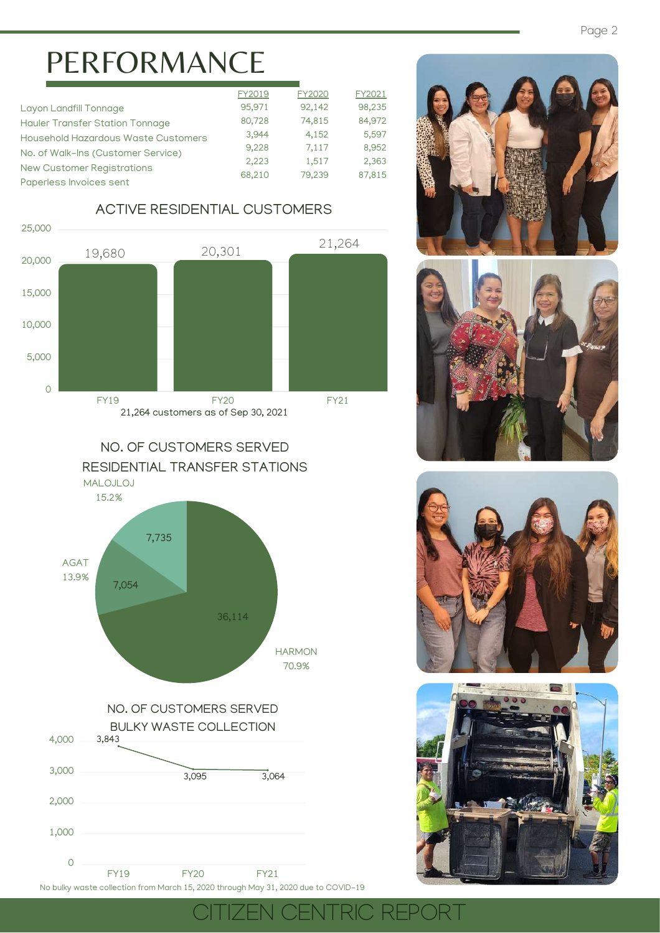# PERFORMANCE

|                                        | FY2019 | FY2020 | FY2021 |
|----------------------------------------|--------|--------|--------|
| Layon Landfill Tonnage                 | 95,971 | 92,142 | 98,235 |
| <b>Hauler Transfer Station Tonnage</b> | 80,728 | 74,815 | 84,972 |
| Household Hazardous Waste Customers    | 3.944  | 4,152  | 5,597  |
| No. of Walk-Ins (Customer Service)     | 9.228  | 7,117  | 8,952  |
| New Customer Registrations             | 2.223  | 1,517  | 2,363  |
| Paperless Invoices sent                | 68,210 | 79,239 | 87,815 |

#### ACTIVE RESIDENTIAL CUSTOMERS FY19 FY20 FY21 25,000 20,000 15,000 10,000 5,000 0 19,680 20,301 21,264 customers as of Sep 30, 2021 21,264

NO. OF CUSTOMERS SERVED RESIDENTIAL TRANSFER STATIONS



FY19 FY20 FY21 4,000 3,843 3,000 2,000 1,000  $\overline{O}$ NO. OF CUSTOMERS SERVED BULKY WASTE COLLECTION 3,095 3,064

No bulky waste collection from March 15, 2020 through May 31, 2020 due to COVID-19

CITIZEN CENTRIC REPORT







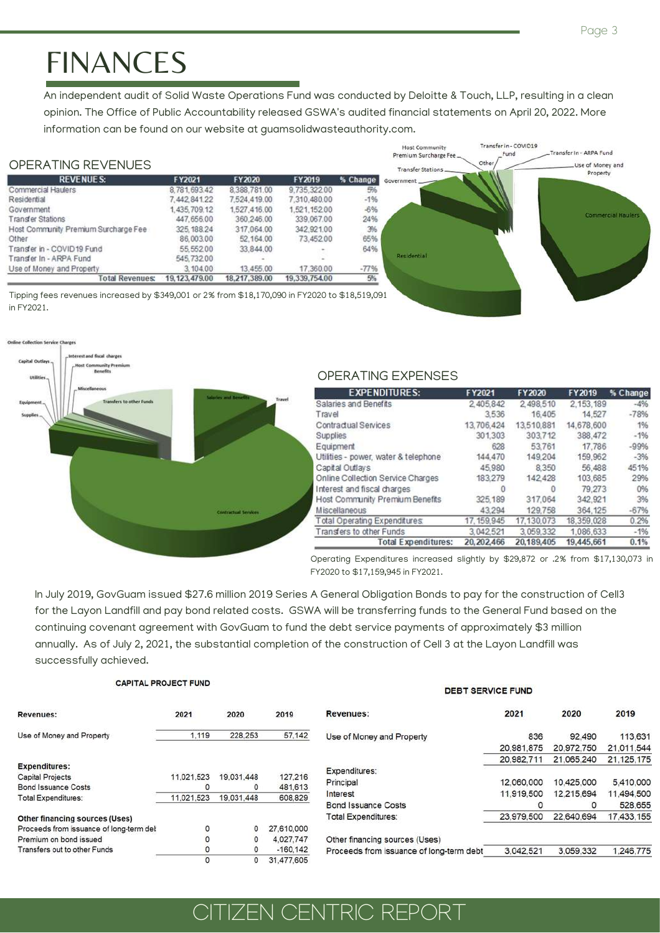# FINANCES

An independent audit of Solid Waste Operations Fund was conducted by Deloitte & Touch, LLP, resulting in a clean opinion. The Office of Public Accountability released GSWA's audited financial statements on April 20, 2022. More information can be found on our website at guamsolidwasteauthority.com.





FY2020 to \$17,159,945 in FY2021.

In July 2019, GovGuam issued \$27.6 million 2019 Series A General Obligation Bonds to pay for the construction of Cell3 for the Layon Landfill and pay bond related costs. GSWA will be transferring funds to the General Fund based on the continuing covenant agreement with GovGuam to fund the debt service payments of approximately \$3 million annually. As of July 2, 2021, the substantial completion of the construction of Cell 3 at the Layon Landfill was successfully achieved.

|                                         | <b>CAPITAL PROJECT FUND</b> |            |             | <b>DEBT SERVICE FUND</b>                 |            |            |            |
|-----------------------------------------|-----------------------------|------------|-------------|------------------------------------------|------------|------------|------------|
| <b>Revenues:</b>                        | 2021                        | 2020       | 2019        | <b>Revenues:</b>                         | 2021       | 2020       | 2019       |
| Use of Money and Property               | 1,119                       | 228,253    | 57,142      | Use of Money and Property                | 836        | 92,490     | 113.631    |
|                                         |                             |            |             |                                          | 20,981.875 | 20,972,750 | 21.011.544 |
|                                         |                             |            |             |                                          | 20.982.711 | 21.065.240 | 21.125.175 |
| <b>Expenditures:</b>                    |                             |            |             | Expenditures:                            |            |            |            |
| <b>Capital Projects</b>                 | 11.021.523                  | 19,031,448 | 127,216     | Principal                                | 12,060,000 | 10.425.000 | 5,410,000  |
| <b>Bond Issuance Costs</b>              | ۵                           | 0          | 481,613     |                                          |            |            |            |
| <b>Total Expenditures:</b>              | 11.021.523                  | 19.031.448 | 608,829     | Interest                                 | 11,919,500 | 12.215.694 | 11,494,500 |
|                                         |                             |            |             | <b>Bond Issuance Costs</b>               | O          |            | 528,655    |
| <b>Other financing sources (Uses)</b>   |                             |            |             | <b>Total Expenditures:</b>               | 23,979,500 | 22.640.694 | 17,433,155 |
| Proceeds from issuance of long-term del | 0                           | 0          | 27,610,000  |                                          |            |            |            |
| Premium on bond issued                  | 0                           | 0          | 4.027.747   | Other financing sources (Uses)           |            |            |            |
| Transfers out to other Funds            | ٥                           | 0          | $-160, 142$ | Proceeds from issuance of long-term debt | 3.042.521  | 3.059.332  | 1.246.775  |
|                                         | 0                           | 0          | 31,477,605  |                                          |            |            |            |

#### CITIZEN CENTRIC REPORT